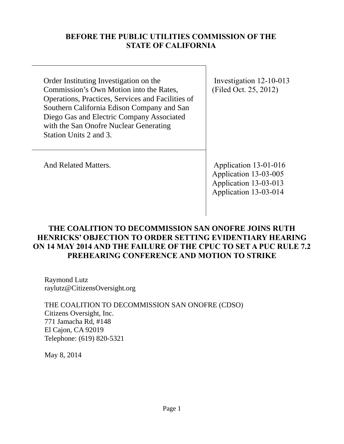# **BEFORE THE PUBLIC UTILITIES COMMISSION OF THE STATE OF CALIFORNIA**

Order Instituting Investigation on the Commission's Own Motion into the Rates, Operations, Practices, Services and Facilities of Southern California Edison Company and San Diego Gas and Electric Company Associated with the San Onofre Nuclear Generating Station Units 2 and 3.

 Investigation 12-10-013 (Filed Oct. 25, 2012)

And Related Matters. Application 13-01-016 Application 13-03-005 Application 13-03-013 Application 13-03-014

# **THE COALITION TO DECOMMISSION SAN ONOFRE JOINS RUTH HENRICKS' OBJECTION TO ORDER SETTING EVIDENTIARY HEARING ON 14 MAY 2014 AND THE FAILURE OF THE CPUC TO SET A PUC RULE 7.2 PREHEARING CONFERENCE AND MOTION TO STRIKE**

Raymond Lutz raylutz@CitizensOversight.org

THE COALITION TO DECOMMISSION SAN ONOFRE (CDSO) Citizens Oversight, Inc. 771 Jamacha Rd, #148 El Cajon, CA 92019 Telephone: (619) 820-5321

May 8, 2014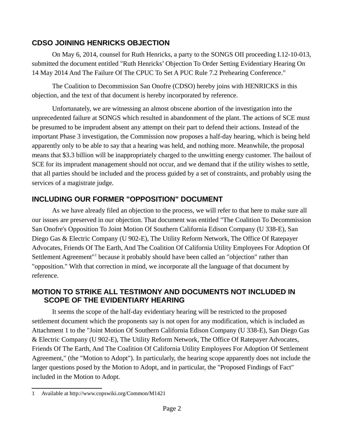#### **CDSO JOINING HENRICKS OBJECTION**

On May 6, 2014, counsel for Ruth Henricks, a party to the SONGS OII proceeding I.12-10-013, submitted the document entitled "Ruth Henricks' Objection To Order Setting Evidentiary Hearing On 14 May 2014 And The Failure Of The CPUC To Set A PUC Rule 7.2 Prehearing Conference."

The Coalition to Decommission San Onofre (CDSO) hereby joins with HENRICKS in this objection, and the text of that document is hereby incorporated by reference.

Unfortunately, we are witnessing an almost obscene abortion of the investigation into the unprecedented failure at SONGS which resulted in abandonment of the plant. The actions of SCE must be presumed to be imprudent absent any attempt on their part to defend their actions. Instead of the important Phase 3 investigation, the Commission now proposes a half-day hearing, which is being held apparently only to be able to say that a hearing was held, and nothing more. Meanwhile, the proposal means that \$3.3 billion will be inappropriately charged to the unwitting energy customer. The bailout of SCE for its imprudent management should not occur, and we demand that if the utility wishes to settle, that all parties should be included and the process guided by a set of constraints, and probably using the services of a magistrate judge.

## **INCLUDING OUR FORMER "OPPOSITION" DOCUMENT**

As we have already filed an objection to the process, we will refer to that here to make sure all our issues are preserved in our objection. That document was entitled "The Coalition To Decommission San Onofre's Opposition To Joint Motion Of Southern California Edison Company (U 338-E), San Diego Gas & Electric Company (U 902-E), The Utility Reform Network, The Office Of Ratepayer Advocates, Friends Of The Earth, And The Coalition Of California Utility Employees For Adoption Of Settlement Agreement<sup>"[1](#page-1-0)</sup> because it probably should have been called an "objection" rather than "opposition." With that correction in mind, we incorporate all the language of that document by reference.

## **MOTION TO STRIKE ALL TESTIMONY AND DOCUMENTS NOT INCLUDED IN SCOPE OF THE EVIDENTIARY HEARING**

It seems the scope of the half-day evidentiary hearing will be restricted to the proposed settlement document which the proponents say is not open for any modification, which is included as Attachment 1 to the "Joint Motion Of Southern California Edison Company (U 338-E), San Diego Gas & Electric Company (U 902-E), The Utility Reform Network, The Office Of Ratepayer Advocates, Friends Of The Earth, And The Coalition Of California Utility Employees For Adoption Of Settlement Agreement," (the "Motion to Adopt"). In particularly, the hearing scope apparently does not include the larger questions posed by the Motion to Adopt, and in particular, the "Proposed Findings of Fact" included in the Motion to Adopt.

<span id="page-1-0"></span><sup>1</sup> Available at http://www.copswiki.org/Common/M1421